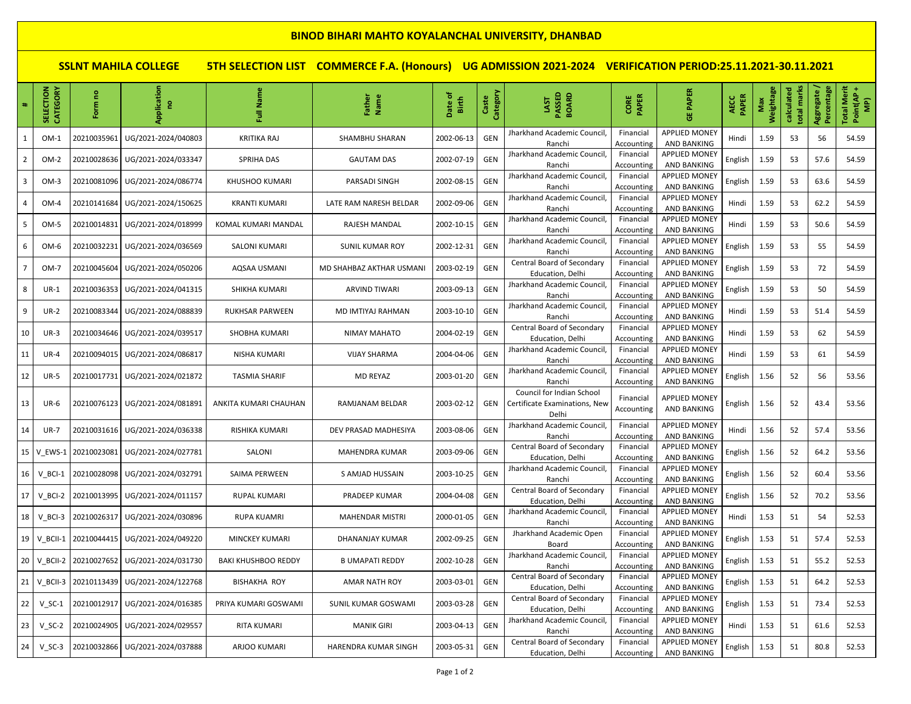## **BINOD BIHARI MAHTO KOYALANCHAL UNIVERSITY, DHANBAD**

**SSLNT MAHILA COLLEGE 5TH SELECTION LIST COMMERCE F.A. (Honours) UG ADMISSION 2021-2024 VERIFICATION PERIOD:25.11.2021-30.11.2021**

|                | SELECTION<br>CATEGORY  | g<br>Form   | Application<br>g    | ē<br>ã                     | Father<br>Name             | Date of<br>Birth | Category<br>Caste | PASSED<br><b>BOARD</b><br>LAST                                      | <b>CORE</b><br>PAPER    | <b>PAPER</b><br>쁑                          | <b>PAPER</b><br>AECC | Weightage<br>Max | total marks<br>calculated | Aggregate /<br>Percentage | <b>Total Merit</b><br>Point(AP+<br>$\widehat{\mathbf{P}}$ |
|----------------|------------------------|-------------|---------------------|----------------------------|----------------------------|------------------|-------------------|---------------------------------------------------------------------|-------------------------|--------------------------------------------|----------------------|------------------|---------------------------|---------------------------|-----------------------------------------------------------|
|                | $OM-1$                 | 20210035961 | UG/2021-2024/040803 | KRITIKA RAJ                | SHAMBHU SHARAN             | 2002-06-13       | <b>GEN</b>        | Jharkhand Academic Council<br>Ranchi                                | Financial<br>Accounting | <b>APPLIED MONEY</b><br><b>AND BANKING</b> | Hindi                | 1.59             | 53                        | 56                        | 54.59                                                     |
|                | $OM-2$                 | 20210028636 | UG/2021-2024/033347 | <b>SPRIHA DAS</b>          | <b>GAUTAM DAS</b>          | 2002-07-19       | <b>GEN</b>        | Jharkhand Academic Council<br>Ranchi                                | Financial<br>Accounting | <b>APPLIED MONEY</b><br><b>AND BANKING</b> | English              | 1.59             | 53                        | 57.6                      | 54.59                                                     |
| $\overline{3}$ | $OM-3$                 | 20210081096 | UG/2021-2024/086774 | <b>KHUSHOO KUMARI</b>      | PARSADI SINGH              | 2002-08-15       | GEN               | Jharkhand Academic Council<br>Ranchi                                | Financial<br>Accounting | <b>APPLIED MONEY</b><br><b>AND BANKING</b> | English              | 1.59             | 53                        | 63.6                      | 54.59                                                     |
|                | OM-4                   | 20210141684 | UG/2021-2024/150625 | <b>KRANTI KUMARI</b>       | LATE RAM NARESH BELDAR     | 2002-09-06       | GEN               | Jharkhand Academic Council<br>Ranchi                                | Financial<br>Accounting | <b>APPLIED MONEY</b><br><b>AND BANKING</b> | Hindi                | 1.59             | 53                        | 62.2                      | 54.59                                                     |
|                | OM-5                   | 20210014831 | UG/2021-2024/018999 | KOMAL KUMARI MANDAL        | RAJESH MANDAL              | 2002-10-15       | GEN               | Jharkhand Academic Council<br>Ranchi                                | Financial<br>Accounting | <b>APPLIED MONEY</b><br><b>AND BANKING</b> | Hindi                | 1.59             | 53                        | 50.6                      | 54.59                                                     |
|                | OM-6                   | 20210032231 | UG/2021-2024/036569 | SALONI KUMARI              | <b>SUNIL KUMAR ROY</b>     | 2002-12-31       | GEN               | <b>Iharkhand Academic Council</b><br>Ranchi                         | Financial<br>Accounting | <b>APPLIED MONEY</b><br>AND BANKING        | English              | 1.59             | 53                        | 55                        | 54.59                                                     |
|                | OM-7                   | 20210045604 | UG/2021-2024/050206 | AQSAA USMANI               | MD SHAHBAZ AKTHAR USMANI   | 2003-02-19       | GEN               | Central Board of Secondary<br>Education, Delhi                      | Financial<br>Accounting | <b>APPLIED MONEY</b><br><b>AND BANKING</b> | English              | 1.59             | 53                        | 72                        | 54.59                                                     |
| 8              | $UR-1$                 | 20210036353 | UG/2021-2024/041315 | SHIKHA KUMARI              | <b>ARVIND TIWARI</b>       | 2003-09-13       | GEN               | Jharkhand Academic Council<br>Ranchi                                | Financial<br>Accounting | <b>APPLIED MONEY</b><br><b>AND BANKING</b> | English              | 1.59             | 53                        | 50                        | 54.59                                                     |
| 9              | $UR-2$                 | 20210083344 | UG/2021-2024/088839 | <b>RUKHSAR PARWEEN</b>     | MD IMTIYAJ RAHMAN          | 2003-10-10       | GEN               | Jharkhand Academic Council,<br>Ranchi                               | Financial<br>Accounting | <b>APPLIED MONEY</b><br>AND BANKING        | Hindi                | 1.59             | 53                        | 51.4                      | 54.59                                                     |
| 10             | $UR-3$                 | 20210034646 | UG/2021-2024/039517 | SHOBHA KUMARI              | <b>NIMAY MAHATO</b>        | 2004-02-19       | GEN               | Central Board of Secondary<br>Education, Delhi                      | Financial<br>Accounting | <b>APPLIED MONEY</b><br><b>AND BANKING</b> | Hindi                | 1.59             | 53                        | 62                        | 54.59                                                     |
| 11             | <b>UR-4</b>            | 20210094015 | UG/2021-2024/086817 | NISHA KUMARI               | <b>VIJAY SHARMA</b>        | 2004-04-06       | GEN               | Jharkhand Academic Council<br>Ranchi                                | Financial<br>Accounting | <b>APPLIED MONEY</b><br>AND BANKING        | Hindi                | 1.59             | 53                        | 61                        | 54.59                                                     |
| 12             | <b>UR-5</b>            | 20210017731 | UG/2021-2024/021872 | <b>TASMIA SHARIF</b>       | <b>MD REYAZ</b>            | 2003-01-20       | GEN               | Jharkhand Academic Council<br>Ranchi                                | Financial<br>Accounting | <b>APPLIED MONEY</b><br>AND BANKING        | English              | 1.56             | 52                        | 56                        | 53.56                                                     |
| 13             | <b>UR-6</b>            | 20210076123 | UG/2021-2024/081891 | ANKITA KUMARI CHAUHAN      | RAMJANAM BELDAR            | 2003-02-12       | GEN               | Council for Indian School<br>Certificate Examinations, New<br>Delhi | Financial<br>Accounting | <b>APPLIED MONEY</b><br>AND BANKING        | English              | 1.56             | 52                        | 43.4                      | 53.56                                                     |
| 14             | <b>UR-7</b>            | 20210031616 | UG/2021-2024/036338 | RISHIKA KUMARI             | DEV PRASAD MADHESIYA       | 2003-08-06       | GEN               | <b>Iharkhand Academic Council</b><br>Ranchi                         | Financial<br>Accounting | <b>APPLIED MONEY</b><br><b>AND BANKING</b> | Hindi                | 1.56             | 52                        | 57.4                      | 53.56                                                     |
| 15             | V EWS-1                | 20210023081 | UG/2021-2024/027781 | SALONI                     | <b>MAHENDRA KUMAR</b>      | 2003-09-06       | GEN               | Central Board of Secondary<br>Education, Delhi                      | Financial<br>Accounting | <b>APPLIED MONEY</b><br><b>AND BANKING</b> | English              | 1.56             | 52                        | 64.2                      | 53.56                                                     |
| 16             | $V$ <sub>_</sub> BCI-1 | 20210028098 | UG/2021-2024/032791 | SAIMA PERWEEN              | S AMJAD HUSSAIN            | 2003-10-25       | GEN               | Jharkhand Academic Council<br>Ranchi                                | Financial<br>Accounting | <b>APPLIED MONEY</b><br><b>AND BANKING</b> | English              | 1.56             | 52                        | 60.4                      | 53.56                                                     |
| 17             | V BCI-2                | 20210013995 | UG/2021-2024/011157 | <b>RUPAL KUMARI</b>        | PRADEEP KUMAR              | 2004-04-08       | GEN               | Central Board of Secondary<br>Education, Delhi                      | Financial<br>Accounting | <b>APPLIED MONEY</b><br><b>AND BANKING</b> | English              | 1.56             | 52                        | 70.2                      | 53.56                                                     |
| 18             | $V_BCI-3$              | 20210026317 | UG/2021-2024/030896 | <b>RUPA KUAMRI</b>         | <b>MAHENDAR MISTRI</b>     | 2000-01-05       | GEN               | Jharkhand Academic Council<br>Ranchi                                | Financial<br>Accounting | <b>APPLIED MONEY</b><br>AND BANKING        | Hindi                | 1.53             | 51                        | 54                        | 52.53                                                     |
| 19             | V BCII-1               | 20210044415 | UG/2021-2024/049220 | <b>MINCKEY KUMARI</b>      | DHANANJAY KUMAR            | 2002-09-25       | GEN               | Jharkhand Academic Open<br>Board                                    | Financial<br>Accounting | <b>APPLIED MONEY</b><br>AND BANKING        | English              | 1.53             | 51                        | 57.4                      | 52.53                                                     |
| 20             | V BCII-2               | 20210027652 | UG/2021-2024/031730 | <b>BAKI KHUSHBOO REDDY</b> | <b>B UMAPATI REDDY</b>     | 2002-10-28       | GEN               | Jharkhand Academic Council<br>Ranchi                                | Financial<br>Accounting | <b>APPLIED MONEY</b><br><b>AND BANKING</b> | English              | 1.53             | 51                        | 55.2                      | 52.53                                                     |
| 21             | V_BCII-3               | 20210113439 | UG/2021-2024/122768 | <b>BISHAKHA ROY</b>        | AMAR NATH ROY              | 2003-03-01       | GEN               | Central Board of Secondary<br>Education, Delhi                      | Financial<br>Accounting | <b>APPLIED MONEY</b><br><b>AND BANKING</b> | English              | 1.53             | 51                        | 64.2                      | 52.53                                                     |
| 22             | $V$ SC-1               | 20210012917 | UG/2021-2024/016385 | PRIYA KUMARI GOSWAMI       | <b>SUNIL KUMAR GOSWAMI</b> | 2003-03-28       | GEN               | Central Board of Secondary<br>Education, Delhi                      | Financial<br>Accounting | <b>APPLIED MONEY</b><br><b>AND BANKING</b> | English              | 1.53             | 51                        | 73.4                      | 52.53                                                     |
| 23             | $V_SC-2$               | 20210024905 | UG/2021-2024/029557 | RITA KUMARI                | <b>MANIK GIRI</b>          | 2003-04-13       | GEN               | Jharkhand Academic Council<br>Ranchi                                | Financial<br>Accounting | <b>APPLIED MONEY</b><br><b>AND BANKING</b> | Hindi                | 1.53             | 51                        | 61.6                      | 52.53                                                     |
| 24             | $V_SC-3$               | 20210032866 | UG/2021-2024/037888 | ARJOO KUMARI               | HARENDRA KUMAR SINGH       | 2003-05-31       | GEN               | Central Board of Secondary<br>Education, Delhi                      | Financial<br>Accounting | <b>APPLIED MONEY</b><br><b>AND BANKING</b> | English              | 1.53             | 51                        | 80.8                      | 52.53                                                     |